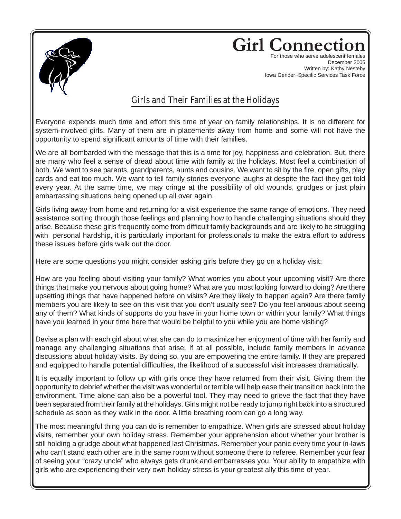

## **Girl Connec**

For those who serve adolescent females December 2006 Written by: Kathy Nesteby Iowa Gender~Specific Services Task Force

## Girls and Their Families at the Holidays

Everyone expends much time and effort this time of year on family relationships. It is no different for system-involved girls. Many of them are in placements away from home and some will not have the opportunity to spend significant amounts of time with their families.

We are all bombarded with the message that this is a time for joy, happiness and celebration. But, there are many who feel a sense of dread about time with family at the holidays. Most feel a combination of both. We want to see parents, grandparents, aunts and cousins. We want to sit by the fire, open gifts, play cards and eat too much. We want to tell family stories everyone laughs at despite the fact they get told every year. At the same time, we may cringe at the possibility of old wounds, grudges or just plain embarrassing situations being opened up all over again.

Girls living away from home and returning for a visit experience the same range of emotions. They need assistance sorting through those feelings and planning how to handle challenging situations should they arise. Because these girls frequently come from difficult family backgrounds and are likely to be struggling with personal hardship, it is particularly important for professionals to make the extra effort to address these issues before girls walk out the door.

Here are some questions you might consider asking girls before they go on a holiday visit:

How are you feeling about visiting your family? What worries you about your upcoming visit? Are there things that make you nervous about going home? What are you most looking forward to doing? Are there upsetting things that have happened before on visits? Are they likely to happen again? Are there family members you are likely to see on this visit that you don't usually see? Do you feel anxious about seeing any of them? What kinds of supports do you have in your home town or within your family? What things have you learned in your time here that would be helpful to you while you are home visiting?

Devise a plan with each girl about what she can do to maximize her enjoyment of time with her family and manage any challenging situations that arise. If at all possible, include family members in advance discussions about holiday visits. By doing so, you are empowering the entire family. If they are prepared and equipped to handle potential difficulties, the likelihood of a successful visit increases dramatically.

It is equally important to follow up with girls once they have returned from their visit. Giving them the opportunity to debrief whether the visit was wonderful or terrible will help ease their transition back into the environment. Time alone can also be a powerful tool. They may need to grieve the fact that they have been separated from their family at the holidays. Girls might not be ready to jump right back into a structured schedule as soon as they walk in the door. A little breathing room can go a long way.

The most meaningful thing you can do is remember to empathize. When girls are stressed about holiday visits, remember your own holiday stress. Remember your apprehension about whether your brother is still holding a grudge about what happened last Christmas. Remember your panic every time your in-laws who can't stand each other are in the same room without someone there to referee. Remember your fear of seeing your "crazy uncle" who always gets drunk and embarrasses you. Your ability to empathize with girls who are experiencing their very own holiday stress is your greatest ally this time of year.